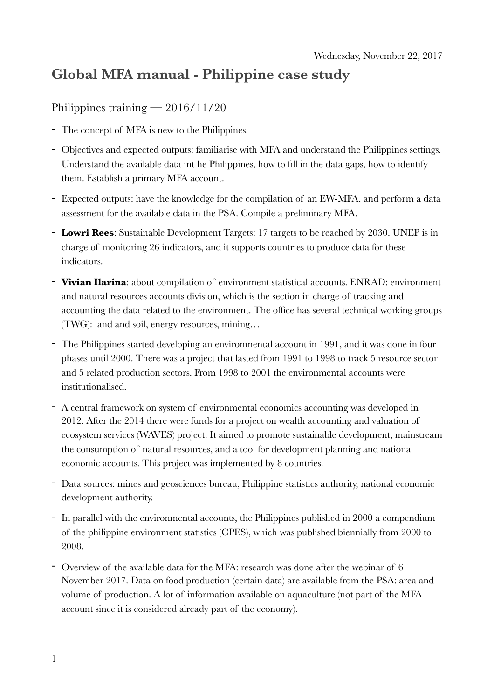## **Global MFA manual - Philippine case study**

## Philippines training — 2016/11/20

- The concept of MFA is new to the Philippines.
- Objectives and expected outputs: familiarise with MFA and understand the Philippines settings. Understand the available data int he Philippines, how to fill in the data gaps, how to identify them. Establish a primary MFA account.
- Expected outputs: have the knowledge for the compilation of an EW-MFA, and perform a data assessment for the available data in the PSA. Compile a preliminary MFA.
- **Lowri Rees**: Sustainable Development Targets: 17 targets to be reached by 2030. UNEP is in charge of monitoring 26 indicators, and it supports countries to produce data for these indicators.
- **Vivian Ilarina**: about compilation of environment statistical accounts. ENRAD: environment and natural resources accounts division, which is the section in charge of tracking and accounting the data related to the environment. The office has several technical working groups (TWG): land and soil, energy resources, mining…
- The Philippines started developing an environmental account in 1991, and it was done in four phases until 2000. There was a project that lasted from 1991 to 1998 to track 5 resource sector and 5 related production sectors. From 1998 to 2001 the environmental accounts were institutionalised.
- A central framework on system of environmental economics accounting was developed in 2012. After the 2014 there were funds for a project on wealth accounting and valuation of ecosystem services (WAVES) project. It aimed to promote sustainable development, mainstream the consumption of natural resources, and a tool for development planning and national economic accounts. This project was implemented by 8 countries.
- Data sources: mines and geosciences bureau, Philippine statistics authority, national economic development authority.
- In parallel with the environmental accounts, the Philippines published in 2000 a compendium of the philippine environment statistics (CPES), which was published biennially from 2000 to 2008.
- Overview of the available data for the MFA: research was done after the webinar of 6 November 2017. Data on food production (certain data) are available from the PSA: area and volume of production. A lot of information available on aquaculture (not part of the MFA account since it is considered already part of the economy).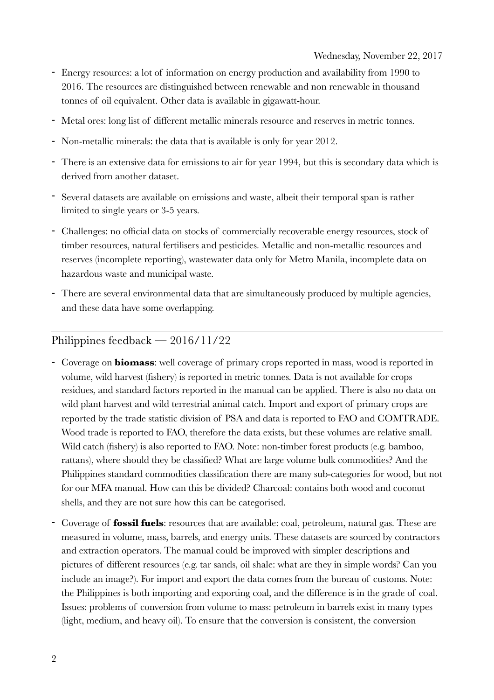- Energy resources: a lot of information on energy production and availability from 1990 to 2016. The resources are distinguished between renewable and non renewable in thousand tonnes of oil equivalent. Other data is available in gigawatt-hour.
- Metal ores: long list of different metallic minerals resource and reserves in metric tonnes.
- Non-metallic minerals: the data that is available is only for year 2012.
- There is an extensive data for emissions to air for year 1994, but this is secondary data which is derived from another dataset.
- Several datasets are available on emissions and waste, albeit their temporal span is rather limited to single years or 3-5 years.
- Challenges: no official data on stocks of commercially recoverable energy resources, stock of timber resources, natural fertilisers and pesticides. Metallic and non-metallic resources and reserves (incomplete reporting), wastewater data only for Metro Manila, incomplete data on hazardous waste and municipal waste.
- There are several environmental data that are simultaneously produced by multiple agencies, and these data have some overlapping.

## Philippines feedback — 2016/11/22

- Coverage on **biomass**: well coverage of primary crops reported in mass, wood is reported in volume, wild harvest (fishery) is reported in metric tonnes. Data is not available for crops residues, and standard factors reported in the manual can be applied. There is also no data on wild plant harvest and wild terrestrial animal catch. Import and export of primary crops are reported by the trade statistic division of PSA and data is reported to FAO and COMTRADE. Wood trade is reported to FAO, therefore the data exists, but these volumes are relative small. Wild catch (fishery) is also reported to FAO. Note: non-timber forest products (e.g. bamboo, rattans), where should they be classified? What are large volume bulk commodities? And the Philippines standard commodities classification there are many sub-categories for wood, but not for our MFA manual. How can this be divided? Charcoal: contains both wood and coconut shells, and they are not sure how this can be categorised.
- Coverage of **fossil fuels**: resources that are available: coal, petroleum, natural gas. These are measured in volume, mass, barrels, and energy units. These datasets are sourced by contractors and extraction operators. The manual could be improved with simpler descriptions and pictures of different resources (e.g. tar sands, oil shale: what are they in simple words? Can you include an image?). For import and export the data comes from the bureau of customs. Note: the Philippines is both importing and exporting coal, and the difference is in the grade of coal. Issues: problems of conversion from volume to mass: petroleum in barrels exist in many types (light, medium, and heavy oil). To ensure that the conversion is consistent, the conversion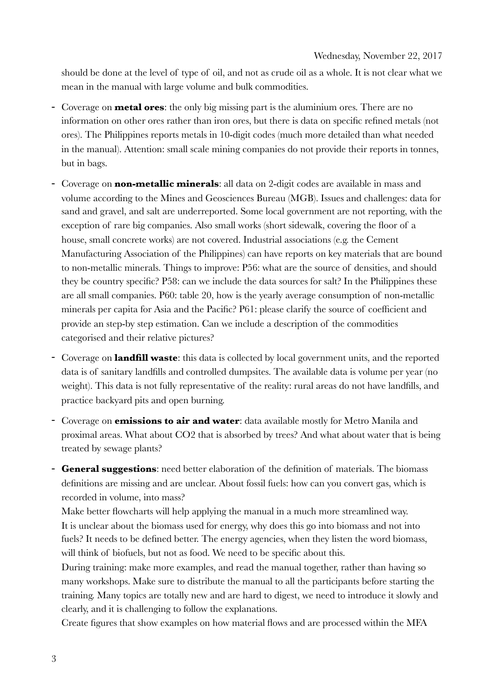should be done at the level of type of oil, and not as crude oil as a whole. It is not clear what we mean in the manual with large volume and bulk commodities.

- Coverage on **metal ores**: the only big missing part is the aluminium ores. There are no information on other ores rather than iron ores, but there is data on specific refined metals (not ores). The Philippines reports metals in 10-digit codes (much more detailed than what needed in the manual). Attention: small scale mining companies do not provide their reports in tonnes, but in bags.
- Coverage on **non-metallic minerals**: all data on 2-digit codes are available in mass and volume according to the Mines and Geosciences Bureau (MGB). Issues and challenges: data for sand and gravel, and salt are underreported. Some local government are not reporting, with the exception of rare big companies. Also small works (short sidewalk, covering the floor of a house, small concrete works) are not covered. Industrial associations (e.g. the Cement Manufacturing Association of the Philippines) can have reports on key materials that are bound to non-metallic minerals. Things to improve: P56: what are the source of densities, and should they be country specific? P58: can we include the data sources for salt? In the Philippines these are all small companies. P60: table 20, how is the yearly average consumption of non-metallic minerals per capita for Asia and the Pacific? P61: please clarify the source of coefficient and provide an step-by step estimation. Can we include a description of the commodities categorised and their relative pictures?
- Coverage on **landfill waste**: this data is collected by local government units, and the reported data is of sanitary landfills and controlled dumpsites. The available data is volume per year (no weight). This data is not fully representative of the reality: rural areas do not have landfills, and practice backyard pits and open burning.
- Coverage on **emissions to air and water**: data available mostly for Metro Manila and proximal areas. What about CO2 that is absorbed by trees? And what about water that is being treated by sewage plants?
- **General suggestions**: need better elaboration of the definition of materials. The biomass definitions are missing and are unclear. About fossil fuels: how can you convert gas, which is recorded in volume, into mass?

Make better flowcharts will help applying the manual in a much more streamlined way. It is unclear about the biomass used for energy, why does this go into biomass and not into fuels? It needs to be defined better. The energy agencies, when they listen the word biomass, will think of biofuels, but not as food. We need to be specific about this.

During training: make more examples, and read the manual together, rather than having so many workshops. Make sure to distribute the manual to all the participants before starting the training. Many topics are totally new and are hard to digest, we need to introduce it slowly and clearly, and it is challenging to follow the explanations.

Create figures that show examples on how material flows and are processed within the MFA